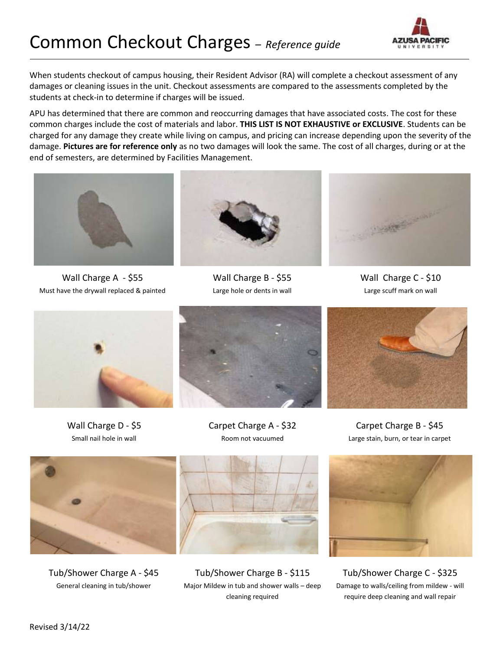

When students checkout of campus housing, their Resident Advisor (RA) will complete a checkout assessment of any damages or cleaning issues in the unit. Checkout assessments are compared to the assessments completed by the students at check-in to determine if charges will be issued.

APU has determined that there are common and reoccurring damages that have associated costs. The cost for these common charges include the cost of materials and labor. **THIS LIST IS NOT EXHAUSTIVE or EXCLUSIVE**. Students can be charged for any damage they create while living on campus, and pricing can increase depending upon the severity of the damage. **Pictures are for reference only** as no two damages will look the same. The cost of all charges, during or at the end of semesters, are determined by Facilities Management.



Wall Charge A - \$55 Must have the drywall replaced & painted



Wall Charge B - \$55 Large hole or dents in wall



Wall Charge C - \$10 Large scuff mark on wall



Wall Charge D - \$5 Small nail hole in wall







Carpet Charge B - \$45 Large stain, burn, or tear in carpet



Tub/Shower Charge A - \$45 General cleaning in tub/shower



Tub/Shower Charge B - \$115 Major Mildew in tub and shower walls – deep cleaning required



Tub/Shower Charge C - \$325 Damage to walls/ceiling from mildew - will require deep cleaning and wall repair